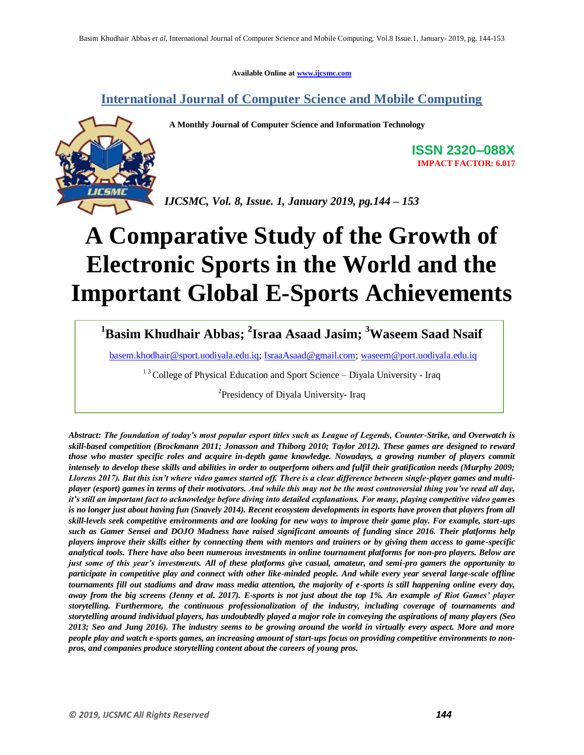**Available Online at www.ijcsmc.com**

**International Journal of Computer Science and Mobile Computing**

 **A Monthly Journal of Computer Science and Information Technology**



**ISSN 2320–088X IMPACT FACTOR: 6.017**

*IJCSMC, Vol. 8, Issue. 1, January 2019, pg.144 – 153*

# **A Comparative Study of the Growth of Electronic Sports in the World and the Important Global E-Sports Achievements**

**<sup>1</sup>Basim Khudhair Abbas; 2 Israa Asaad Jasim; <sup>3</sup>Waseem Saad Nsaif**

basem.khodhair@sport.uodiyala.edu.iq; IsraaAsaad@gmail.com; waseem@port.uodiyala.edu.iq

 $13$  College of Physical Education and Sport Science – Diyala University - Iraq

<sup>2</sup>Presidency of Diyala University- Iraq

*Abstract: The foundation of today's most popular esport titles such as League of Legends, Counter-Strike, and Overwatch is skill-based competition (Brockmann 2011; Jonasson and Thiborg 2010; Taylor 2012). These games are designed to reward those who master specific roles and acquire in-depth game knowledge. Nowadays, a growing number of players commit intensely to develop these skills and abilities in order to outperform others and fulfil their gratification needs (Murphy 2009; Llorens 2017). But this isn't where video games started off. There is a clear difference between single-player games and multiplayer (esport) games in terms of their motivators. And while this may not be the most controversial thing you've read all day, it's still an important fact to acknowledge before diving into detailed explanations. For many, playing competitive video games*  is no longer just about having fun (Snavely 2014). Recent ecosystem developments in esports have proven that players from all *skill-levels seek competitive environments and are looking for new ways to improve their game play. For example, start-ups such as Gamer Sensei and DOJO Madness have raised significant amounts of funding since 2016. Their platforms help players improve their skills either by connecting them with mentors and trainers or by giving them access to game-specific analytical tools. There have also been numerous investments in online tournament platforms for non-pro players. Below are just some of this year's investments. All of these platforms give casual, amateur, and semi-pro gamers the opportunity to participate in competitive play and connect with other like-minded people. And while every year several large-scale offline tournaments fill out stadiums and draw mass media attention, the majority of e-sports is still happening online every day, away from the big screens (Jenny et al. 2017). E-sports is not just about the top 1%. An example of Riot Games' player storytelling. Furthermore, the continuous professionalization of the industry, including coverage of tournaments and storytelling around individual players, has undoubtedly played a major role in conveying the aspirations of many players (Seo 2013; Seo and Jung 2016). The industry seems to be growing around the world in virtually every aspect. More and more people play and watch e-sports games, an increasing amount of start-ups focus on providing competitive environments to nonpros, and companies produce storytelling content about the careers of young pros.*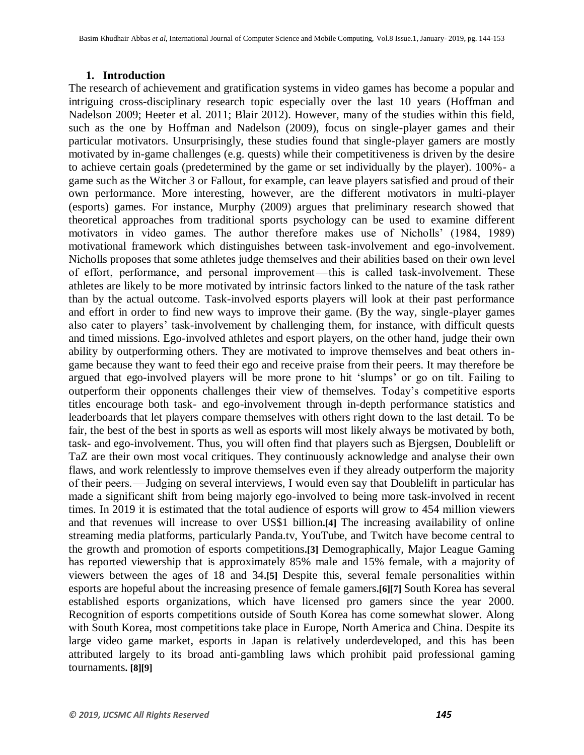#### **1. Introduction**

The research of achievement and gratification systems in video games has become a popular and intriguing cross-disciplinary research topic especially over the last 10 years (Hoffman and Nadelson 2009; Heeter et al. 2011; Blair 2012). However, many of the studies within this field, such as the one by Hoffman and Nadelson (2009), focus on single-player games and their particular motivators. Unsurprisingly, these studies found that single-player gamers are mostly motivated by in-game challenges (e.g. quests) while their competitiveness is driven by the desire to achieve certain goals (predetermined by the game or set individually by the player). 100%- a game such as the Witcher 3 or Fallout, for example, can leave players satisfied and proud of their own performance. More interesting, however, are the different motivators in multi-player (esports) games. For instance, Murphy (2009) argues that preliminary research showed that theoretical approaches from traditional sports psychology can be used to examine different motivators in video games. The author therefore makes use of Nicholls' (1984, 1989) motivational framework which distinguishes between task-involvement and ego-involvement. Nicholls proposes that some athletes judge themselves and their abilities based on their own level of effort, performance, and personal improvement — this is called task-involvement. These athletes are likely to be more motivated by intrinsic factors linked to the nature of the task rather than by the actual outcome. Task-involved esports players will look at their past performance and effort in order to find new ways to improve their game. (By the way, single-player games also cater to players' task-involvement by challenging them, for instance, with difficult quests and timed missions. Ego-involved athletes and esport players, on the other hand, judge their own ability by outperforming others. They are motivated to improve themselves and beat others ingame because they want to feed their ego and receive praise from their peers. It may therefore be argued that ego-involved players will be more prone to hit ‗slumps' or go on tilt. Failing to outperform their opponents challenges their view of themselves. Today's competitive esports titles encourage both task- and ego-involvement through in-depth performance statistics and leaderboards that let players compare themselves with others right down to the last detail. To be fair, the best of the best in sports as well as esports will most likely always be motivated by both, task- and ego-involvement. Thus, you will often find that players such as Bjergsen, Doublelift or TaZ are their own most vocal critiques. They continuously acknowledge and analyse their own flaws, and work relentlessly to improve themselves even if they already outperform the majority of their peers. — Judging on several interviews, I would even say that Doublelift in particular has made a significant shift from being majorly ego-involved to being more task-involved in recent times. In 2019 it is estimated that the total audience of esports will grow to 454 million viewers and that revenues will increase to over US\$1 billion**.[4]** The increasing availability of online streaming media platforms, particularly Panda.tv, YouTube, and Twitch have become central to the growth and promotion of esports competitions**.[3]** Demographically, Major League Gaming has reported viewership that is approximately 85% male and 15% female, with a majority of viewers between the ages of 18 and 34**.[5]** Despite this, several female personalities within esports are hopeful about the increasing presence of female gamers**.[6][7]** South Korea has several established esports organizations, which have licensed pro gamers since the year 2000. Recognition of esports competitions outside of South Korea has come somewhat slower. Along with South Korea, most competitions take place in Europe, North America and China. Despite its large video game market, esports in Japan is relatively underdeveloped, and this has been attributed largely to its broad anti-gambling laws which prohibit paid professional gaming tournaments**. [8][9]**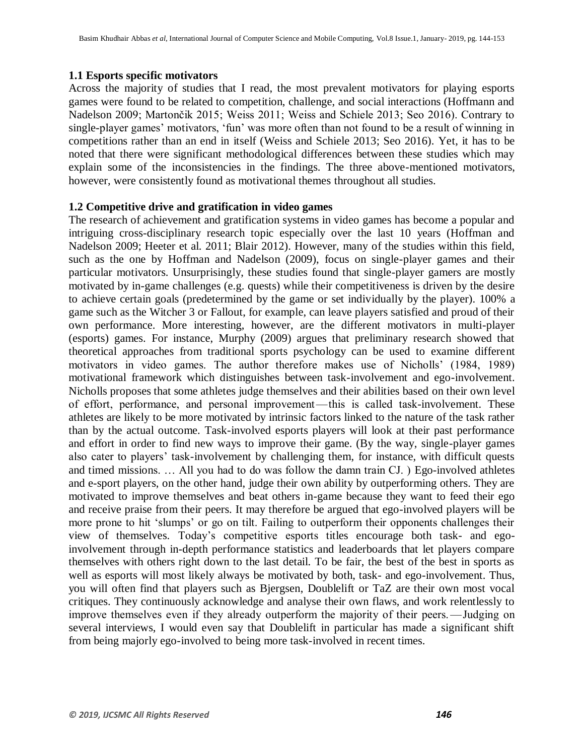#### **1.1 Esports specific motivators**

Across the majority of studies that I read, the most prevalent motivators for playing esports games were found to be related to competition, challenge, and social interactions (Hoffmann and Nadelson 2009; Martončik 2015; Weiss 2011; Weiss and Schiele 2013; Seo 2016). Contrary to single-player games' motivators, 'fun' was more often than not found to be a result of winning in competitions rather than an end in itself (Weiss and Schiele 2013; Seo 2016). Yet, it has to be noted that there were significant methodological differences between these studies which may explain some of the inconsistencies in the findings. The three above-mentioned motivators, however, were consistently found as motivational themes throughout all studies.

#### **1.2 Competitive drive and gratification in video games**

The research of achievement and gratification systems in video games has become a popular and intriguing cross-disciplinary research topic especially over the last 10 years (Hoffman and Nadelson 2009; Heeter et al. 2011; Blair 2012). However, many of the studies within this field, such as the one by Hoffman and Nadelson (2009), focus on single-player games and their particular motivators. Unsurprisingly, these studies found that single-player gamers are mostly motivated by in-game challenges (e.g. quests) while their competitiveness is driven by the desire to achieve certain goals (predetermined by the game or set individually by the player). 100% a game such as the Witcher 3 or Fallout, for example, can leave players satisfied and proud of their own performance. More interesting, however, are the different motivators in multi-player (esports) games. For instance, Murphy (2009) argues that preliminary research showed that theoretical approaches from traditional sports psychology can be used to examine different motivators in video games. The author therefore makes use of Nicholls' (1984, 1989) motivational framework which distinguishes between task-involvement and ego-involvement. Nicholls proposes that some athletes judge themselves and their abilities based on their own level of effort, performance, and personal improvement — this is called task-involvement. These athletes are likely to be more motivated by intrinsic factors linked to the nature of the task rather than by the actual outcome. Task-involved esports players will look at their past performance and effort in order to find new ways to improve their game. (By the way, single-player games also cater to players' task-involvement by challenging them, for instance, with difficult quests and timed missions. … All you had to do was follow the damn train CJ. ) Ego-involved athletes and e-sport players, on the other hand, judge their own ability by outperforming others. They are motivated to improve themselves and beat others in-game because they want to feed their ego and receive praise from their peers. It may therefore be argued that ego-involved players will be more prone to hit 'slumps' or go on tilt. Failing to outperform their opponents challenges their view of themselves. Today's competitive esports titles encourage both task- and egoinvolvement through in-depth performance statistics and leaderboards that let players compare themselves with others right down to the last detail. To be fair, the best of the best in sports as well as esports will most likely always be motivated by both, task- and ego-involvement. Thus, you will often find that players such as Bjergsen, Doublelift or TaZ are their own most vocal critiques. They continuously acknowledge and analyse their own flaws, and work relentlessly to improve themselves even if they already outperform the majority of their peers.—Judging on several interviews, I would even say that Doublelift in particular has made a significant shift from being majorly ego-involved to being more task-involved in recent times.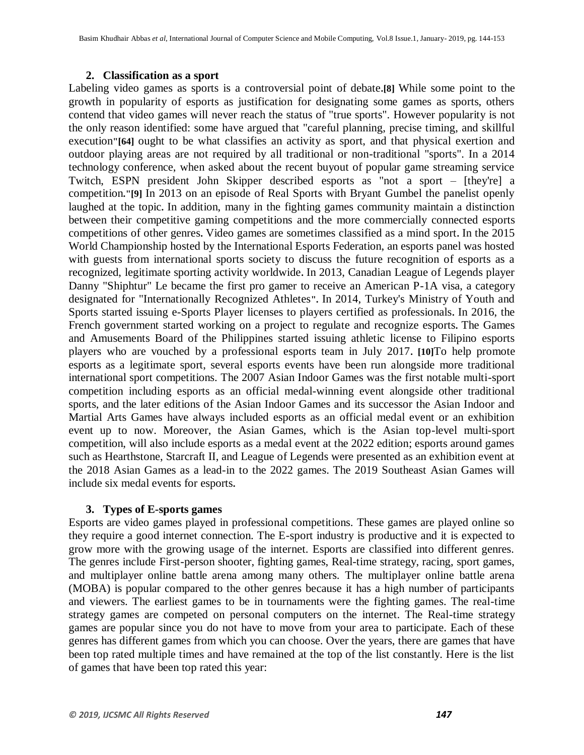#### **2. Classification as a sport**

Labeling video games as sports is a controversial point of debate**.[8]** While some point to the growth in popularity of esports as justification for designating some games as sports, others contend that video games will never reach the status of "true sports". However popularity is not the only reason identified: some have argued that "careful planning, precise timing, and skillful execution**"[64]** ought to be what classifies an activity as sport, and that physical exertion and outdoor playing areas are not required by all traditional or non-traditional "sports". In a 2014 technology conference, when asked about the recent buyout of popular game streaming service Twitch, ESPN president John Skipper described esports as "not a sport – [they're] a competition**."[9]** In 2013 on an episode of Real Sports with Bryant Gumbel the panelist openly laughed at the topic**.** In addition, many in the fighting games community maintain a distinction between their competitive gaming competitions and the more commercially connected esports competitions of other genres**.** Video games are sometimes classified as a mind sport**.** In the 2015 World Championship hosted by the International Esports Federation, an esports panel was hosted with guests from international sports society to discuss the future recognition of esports as a recognized, legitimate sporting activity worldwide**.** In 2013, Canadian League of Legends player Danny "Shiphtur" Le became the first pro gamer to receive an American P-1A visa, a category designated for "Internationally Recognized Athletes**".** In 2014, Turkey's Ministry of Youth and Sports started issuing e-Sports Player licenses to players certified as professionals**.** In 2016, the French government started working on a project to regulate and recognize esports**.** The Games and Amusements Board of the Philippines started issuing athletic license to Filipino esports players who are vouched by a professional esports team in July 2017**. [10]**To help promote esports as a legitimate sport, several esports events have been run alongside more traditional international sport competitions. The 2007 Asian Indoor Games was the first notable multi-sport competition including esports as an official medal-winning event alongside other traditional sports, and the later editions of the Asian Indoor Games and its successor the Asian Indoor and Martial Arts Games have always included esports as an official medal event or an exhibition event up to now. Moreover, the Asian Games, which is the Asian top-level multi-sport competition, will also include esports as a medal event at the 2022 edition; esports around games such as Hearthstone, Starcraft II, and League of Legends were presented as an exhibition event at the 2018 Asian Games as a lead-in to the 2022 games. The 2019 Southeast Asian Games will include six medal events for esports**.** 

# **3. Types of E-sports games**

Esports are video games played in professional competitions. These games are played online so they require a good internet connection. The E-sport industry is productive and it is expected to grow more with the growing usage of the internet. Esports are classified into different genres. The genres include First-person shooter, fighting games, Real-time strategy, racing, sport games, and multiplayer online battle arena among many others. The multiplayer online battle arena (MOBA) is popular compared to the other genres because it has a high number of participants and viewers. The earliest games to be in tournaments were the fighting games. The real-time strategy games are competed on personal computers on the internet. The Real-time strategy games are popular since you do not have to move from your area to participate. Each of these genres has different games from which you can choose. Over the years, there are games that have been top rated multiple times and have remained at the top of the list constantly. Here is the list of games that have been top rated this year: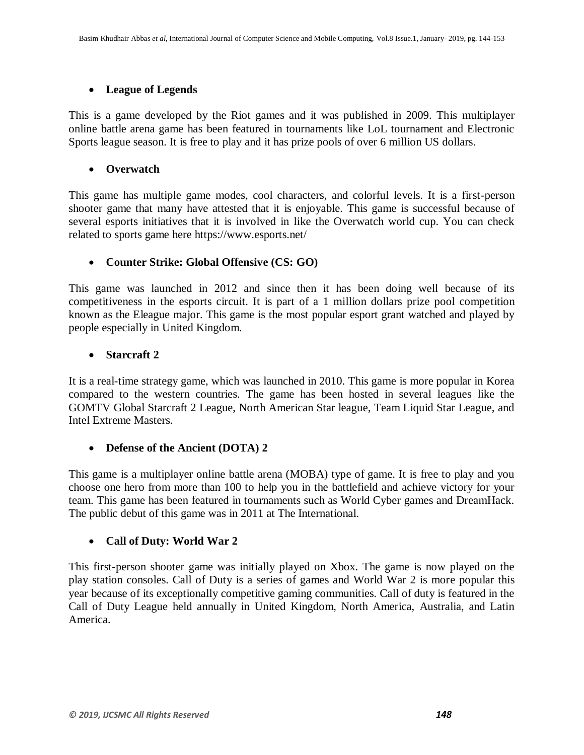# **League of Legends**

This is a game developed by the Riot games and it was published in 2009. This multiplayer online battle arena game has been featured in tournaments like LoL tournament and Electronic Sports league season. It is free to play and it has prize pools of over 6 million US dollars.

# **Overwatch**

This game has multiple game modes, cool characters, and colorful levels. It is a first-person shooter game that many have attested that it is enjoyable. This game is successful because of several esports initiatives that it is involved in like the Overwatch world cup. You can check related to sports game here https://www.esports.net/

# **Counter Strike: Global Offensive (CS: GO)**

This game was launched in 2012 and since then it has been doing well because of its competitiveness in the esports circuit. It is part of a 1 million dollars prize pool competition known as the Eleague major. This game is the most popular esport grant watched and played by people especially in United Kingdom.

# **Starcraft 2**

It is a real-time strategy game, which was launched in 2010. This game is more popular in Korea compared to the western countries. The game has been hosted in several leagues like the GOMTV Global Starcraft 2 League, North American Star league, Team Liquid Star League, and Intel Extreme Masters.

# **Defense of the Ancient (DOTA) 2**

This game is a multiplayer online battle arena (MOBA) type of game. It is free to play and you choose one hero from more than 100 to help you in the battlefield and achieve victory for your team. This game has been featured in tournaments such as World Cyber games and DreamHack. The public debut of this game was in 2011 at The International.

# **Call of Duty: World War 2**

This first-person shooter game was initially played on Xbox. The game is now played on the play station consoles. Call of Duty is a series of games and World War 2 is more popular this year because of its exceptionally competitive gaming communities. Call of duty is featured in the Call of Duty League held annually in United Kingdom, North America, Australia, and Latin America.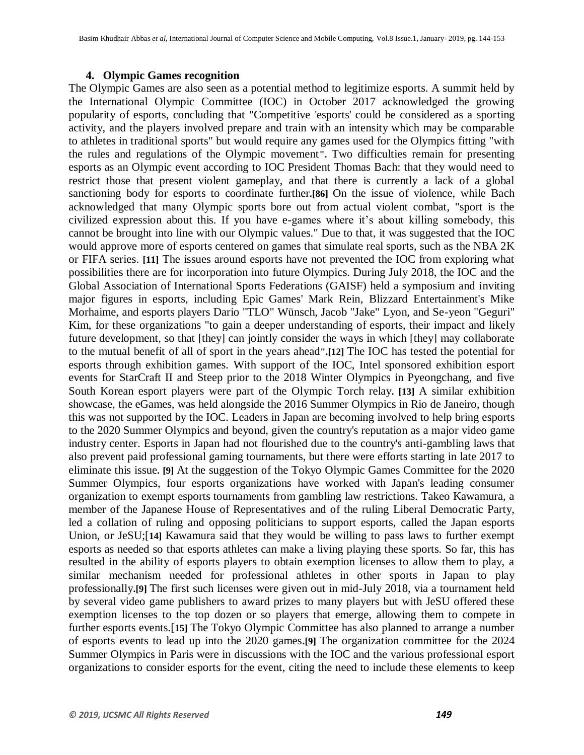#### **4. Olympic Games recognition**

The Olympic Games are also seen as a potential method to legitimize esports. A summit held by the International Olympic Committee (IOC) in October 2017 acknowledged the growing popularity of esports, concluding that "Competitive 'esports' could be considered as a sporting activity, and the players involved prepare and train with an intensity which may be comparable to athletes in traditional sports" but would require any games used for the Olympics fitting "with the rules and regulations of the Olympic movement**".** Two difficulties remain for presenting esports as an Olympic event according to IOC President Thomas Bach: that they would need to restrict those that present violent gameplay, and that there is currently a lack of a global sanctioning body for esports to coordinate further**.[86]** On the issue of violence, while Bach acknowledged that many Olympic sports bore out from actual violent combat, "sport is the civilized expression about this. If you have e-games where it's about killing somebody, this cannot be brought into line with our Olympic values." Due to that, it was suggested that the IOC would approve more of esports centered on games that simulate real sports, such as the NBA 2K or FIFA series. **[11]** The issues around esports have not prevented the IOC from exploring what possibilities there are for incorporation into future Olympics. During July 2018, the IOC and the Global Association of International Sports Federations (GAISF) held a symposium and inviting major figures in esports, including Epic Games' Mark Rein, Blizzard Entertainment's Mike Morhaime, and esports players Dario "TLO" Wünsch, Jacob "Jake" Lyon, and Se-yeon "Geguri" Kim, for these organizations "to gain a deeper understanding of esports, their impact and likely future development, so that [they] can jointly consider the ways in which [they] may collaborate to the mutual benefit of all of sport in the years ahead**".[12]** The IOC has tested the potential for esports through exhibition games. With support of the IOC, Intel sponsored exhibition esport events for StarCraft II and Steep prior to the 2018 Winter Olympics in Pyeongchang, and five South Korean esport players were part of the Olympic Torch relay**. [13]** A similar exhibition showcase, the eGames, was held alongside the 2016 Summer Olympics in Rio de Janeiro, though this was not supported by the IOC. Leaders in Japan are becoming involved to help bring esports to the 2020 Summer Olympics and beyond, given the country's reputation as a major video game industry center. Esports in Japan had not flourished due to the country's anti-gambling laws that also prevent paid professional gaming tournaments, but there were efforts starting in late 2017 to eliminate this issue**. [9]** At the suggestion of the Tokyo Olympic Games Committee for the 2020 Summer Olympics, four esports organizations have worked with Japan's leading consumer organization to exempt esports tournaments from gambling law restrictions. Takeo Kawamura, a member of the Japanese House of Representatives and of the ruling Liberal Democratic Party, led a collation of ruling and opposing politicians to support esports, called the Japan esports Union, or JeSU;[**14]** Kawamura said that they would be willing to pass laws to further exempt esports as needed so that esports athletes can make a living playing these sports. So far, this has resulted in the ability of esports players to obtain exemption licenses to allow them to play, a similar mechanism needed for professional athletes in other sports in Japan to play professionally**.[9]** The first such licenses were given out in mid-July 2018, via a tournament held by several video game publishers to award prizes to many players but with JeSU offered these exemption licenses to the top dozen or so players that emerge, allowing them to compete in further esports events.[**15]** The Tokyo Olympic Committee has also planned to arrange a number of esports events to lead up into the 2020 games**.[9]** The organization committee for the 2024 Summer Olympics in Paris were in discussions with the IOC and the various professional esport organizations to consider esports for the event, citing the need to include these elements to keep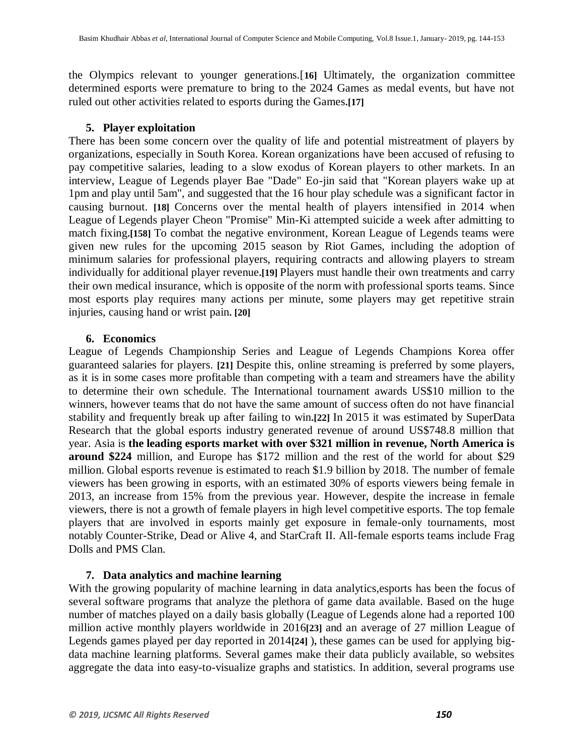the Olympics relevant to younger generations.[**16]** Ultimately, the organization committee determined esports were premature to bring to the 2024 Games as medal events, but have not ruled out other activities related to esports during the Games**.[17]**

#### **5. Player exploitation**

There has been some concern over the quality of life and potential mistreatment of players by organizations, especially in South Korea. Korean organizations have been accused of refusing to pay competitive salaries, leading to a slow exodus of Korean players to other markets. In an interview, League of Legends player Bae "Dade" Eo-jin said that "Korean players wake up at 1pm and play until 5am", and suggested that the 16 hour play schedule was a significant factor in causing burnout. **[18]** Concerns over the mental health of players intensified in 2014 when League of Legends player Cheon "Promise" Min-Ki attempted suicide a week after admitting to match fixing**.[158]** To combat the negative environment, Korean League of Legends teams were given new rules for the upcoming 2015 season by Riot Games, including the adoption of minimum salaries for professional players, requiring contracts and allowing players to stream individually for additional player revenue**.[19]** Players must handle their own treatments and carry their own medical insurance, which is opposite of the norm with professional sports teams. Since most esports play requires many actions per minute, some players may get repetitive strain injuries, causing hand or wrist pain**. [20]**

# **6. Economics**

League of Legends Championship Series and League of Legends Champions Korea offer guaranteed salaries for players. **[21]** Despite this, online streaming is preferred by some players, as it is in some cases more profitable than competing with a team and streamers have the ability to determine their own schedule. The International tournament awards US\$10 million to the winners, however teams that do not have the same amount of success often do not have financial stability and frequently break up after failing to win**.[22]** In 2015 it was estimated by SuperData Research that the global esports industry generated revenue of around US\$748.8 million that year. Asia is **the leading esports market with over \$321 million in revenue, North America is around \$224** million, and Europe has \$172 million and the rest of the world for about \$29 million. Global esports revenue is estimated to reach \$1.9 billion by 2018. The number of female viewers has been growing in esports, with an estimated 30% of esports viewers being female in 2013, an increase from 15% from the previous year. However, despite the increase in female viewers, there is not a growth of female players in high level competitive esports. The top female players that are involved in esports mainly get exposure in female-only tournaments, most notably Counter-Strike, Dead or Alive 4, and StarCraft II. All-female esports teams include Frag Dolls and PMS Clan.

# **7. Data analytics and machine learning**

With the growing popularity of machine learning in data analytics,esports has been the focus of several software programs that analyze the plethora of game data available. Based on the huge number of matches played on a daily basis globally (League of Legends alone had a reported 100 million active monthly players worldwide in 2016**[23]** and an average of 27 million League of Legends games played per day reported in 2014**[24]** )**,** these games can be used for applying bigdata machine learning platforms. Several games make their data publicly available, so websites aggregate the data into easy-to-visualize graphs and statistics. In addition, several programs use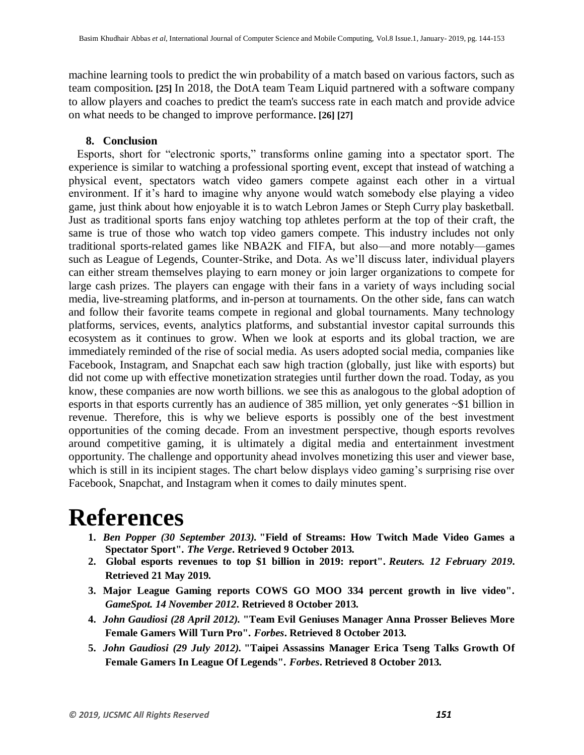machine learning tools to predict the win probability of a match based on various factors, such as team composition**. [25]** In 2018, the DotA team Team Liquid partnered with a software company to allow players and coaches to predict the team's success rate in each match and provide advice on what needs to be changed to improve performance**. [26] [27]**

#### **8. Conclusion**

Esports, short for "electronic sports," transforms online gaming into a spectator sport. The experience is similar to watching a professional sporting event, except that instead of watching a physical event, spectators watch video gamers compete against each other in a virtual environment. If it's hard to imagine why anyone would watch somebody else playing a video game, just think about how enjoyable it is to watch Lebron James or Steph Curry play basketball. Just as traditional sports fans enjoy watching top athletes perform at the top of their craft, the same is true of those who watch top video gamers compete. This industry includes not only traditional sports-related games like NBA2K and FIFA, but also—and more notably—games such as League of Legends, Counter-Strike, and Dota. As we'll discuss later, individual players can either stream themselves playing to earn money or join larger organizations to compete for large cash prizes. The players can engage with their fans in a variety of ways including social media, live-streaming platforms, and in-person at tournaments. On the other side, fans can watch and follow their favorite teams compete in regional and global tournaments. Many technology platforms, services, events, analytics platforms, and substantial investor capital surrounds this ecosystem as it continues to grow. When we look at esports and its global traction, we are immediately reminded of the rise of social media. As users adopted social media, companies like Facebook, Instagram, and Snapchat each saw high traction (globally, just like with esports) but did not come up with effective monetization strategies until further down the road. Today, as you know, these companies are now worth billions. we see this as analogous to the global adoption of esports in that esports currently has an audience of 385 million, yet only generates ~\$1 billion in revenue. Therefore, this is why we believe esports is possibly one of the best investment opportunities of the coming decade. From an investment perspective, though esports revolves around competitive gaming, it is ultimately a digital media and entertainment investment opportunity. The challenge and opportunity ahead involves monetizing this user and viewer base, which is still in its incipient stages. The chart below displays video gaming's surprising rise over Facebook, Snapchat, and Instagram when it comes to daily minutes spent.

# **References**

- **1.** *Ben Popper (30 September 2013).* **["Field of Streams: How Twitch Made Video Games a](https://www.theverge.com/2013/9/30/4719766/twitch-raises-20-million-esports-market-booming)  [Spectator Sport"](https://www.theverge.com/2013/9/30/4719766/twitch-raises-20-million-esports-market-booming)***. The Verge***. Retrieved 9 October 2013***.*
- **2. [Global esports revenues to top \\$1 billion in 2019: report"](https://www.reuters.com/article/us-videogames-outlook-idUSKCN1Q11XY)***. Reuters. 12 February 2019***. Retrieved 21 May 2019***.*
- **3. [Major League Gaming reports COWS GO MOO 334 percent growth in live video"](http://www.gamespot.com/news/major-league-gaming-reports-334-percent-growth-in-live-video-6400010)***. GameSpot. 14 November 2012***. Retrieved 8 October 2013***.*
- **4.** *John Gaudiosi (28 April 2012).* **["Team Evil Geniuses Manager Anna Prosser Believes More](https://www.forbes.com/sites/johngaudiosi/2012/04/28/team-evil-geniuses-manager-anna-prosser-believes-more-female-gamers-will-turn-pro/)  [Female Gamers Will Turn Pro"](https://www.forbes.com/sites/johngaudiosi/2012/04/28/team-evil-geniuses-manager-anna-prosser-believes-more-female-gamers-will-turn-pro/)***. Forbes***. Retrieved 8 October 2013***.*
- **5.** *John Gaudiosi (29 July 2012).* **["Taipei Assassins Manager Erica Tseng Talks Growth Of](https://www.forbes.com/sites/johngaudiosi/2012/07/29/taipei-assassins-manager-erica-tseng-talks-growth-of-female-gamers-in-league-of-legends/)  [Female Gamers In League Of Legends"](https://www.forbes.com/sites/johngaudiosi/2012/07/29/taipei-assassins-manager-erica-tseng-talks-growth-of-female-gamers-in-league-of-legends/)***. Forbes***. Retrieved 8 October 2013***.*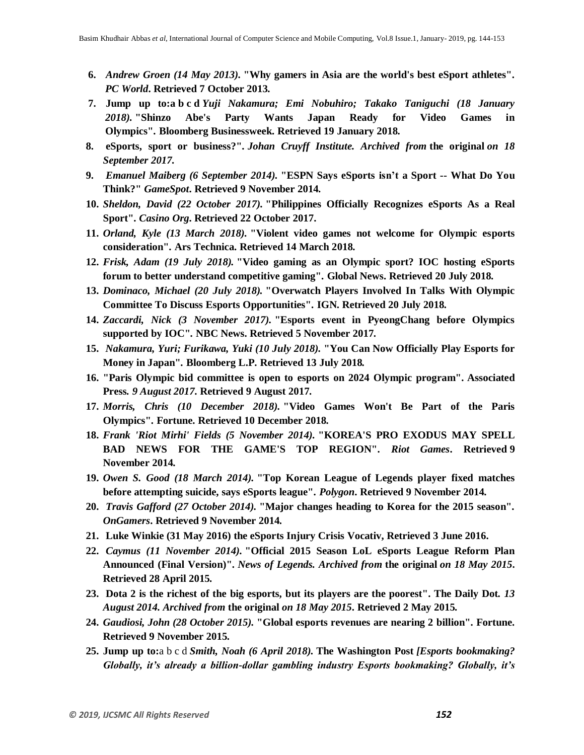- **6.** *Andrew Groen (14 May 2013).* **["Why gamers in Asia are the world's best eSport athletes"](http://www.pcworld.com/article/2036844/why-gamers-in-asia-are-the-worlds-best-esport-athletes.html)***. PC World***. Retrieved 7 October 2013***.*
- **7. [Jump up to:a](https://en.wikipedia.org/wiki/Esports#cite_ref-bloomberg_olympics_2024_9-0) [b](https://en.wikipedia.org/wiki/Esports#cite_ref-bloomberg_olympics_2024_9-1) [c](https://en.wikipedia.org/wiki/Esports#cite_ref-bloomberg_olympics_2024_9-2) [d](https://en.wikipedia.org/wiki/Esports#cite_ref-bloomberg_olympics_2024_9-3)** *Yuji Nakamura; Emi Nobuhiro; Takako Taniguchi (18 January 2018).* **["Shinzo Abe's Party Wants Japan Ready for Video Games in](https://www.bloomberg.com/news/articles/2018-01-18/shinzo-abe-s-party-wants-japan-ready-for-video-games-in-olympics)  [Olympics"](https://www.bloomberg.com/news/articles/2018-01-18/shinzo-abe-s-party-wants-japan-ready-for-video-games-in-olympics)***.* **[Bloomberg Businessweek.](https://en.wikipedia.org/wiki/Bloomberg_Businessweek) Retrieved 19 January 2018***.*
- **8. [eSports, sport or business?"](https://web.archive.org/web/20170918211929/https:/johancruyffinstitute.com/en/blog-en/esports-sport-or-business/)***. Johan Cruyff Institute. Archived from* **[the original](https://johancruyffinstitute.com/en/blog-en/esports-sport-or-business/)** *on 18 September 2017.*
- **9.** *Emanuel Maiberg (6 September 2014).* **["ESPN Says eSports isn't](http://www.gamespot.com/articles/espn-says-esports-isnt-a-sport-what-do-you-think/1100-6422148/) a Sport -- What Do You [Think?"](http://www.gamespot.com/articles/espn-says-esports-isnt-a-sport-what-do-you-think/1100-6422148/)** *GameSpot***. Retrieved 9 November 2014***.*
- **10.** *Sheldon, David (22 October 2017).* **["Philippines Officially Recognizes eSports As a](https://www.casino.org/blog/philippines-officially-recognizes-esports-as-a-real-sport/) Real [Sport"](https://www.casino.org/blog/philippines-officially-recognizes-esports-as-a-real-sport/)***. Casino Org***. Retrieved 22 October 2017.**
- **11.** *Orland, Kyle (13 March 2018).* **["Violent video games not welcome for Olympic esports](https://arstechnica.com/gaming/2018/03/olympic-committee-open-to-esports-but-only-without-violence/)  [consideration"](https://arstechnica.com/gaming/2018/03/olympic-committee-open-to-esports-but-only-without-violence/)***.* **[Ars Technica.](https://en.wikipedia.org/wiki/Ars_Technica) Retrieved 14 March 2018***.*
- **12.** *Frisk, Adam (19 July 2018).* **["Video gaming as an Olympic sport? IOC hosting eSports](https://globalnews.ca/news/4340744/esports-in-olympics/)  [forum to better understand competitive gaming"](https://globalnews.ca/news/4340744/esports-in-olympics/)***.* **[Global News.](https://en.wikipedia.org/wiki/Global_News) Retrieved 20 July 2018***.*
- **13.** *Dominaco, Michael (20 July 2018).* **["Overwatch Players Involved In Talks With Olympic](http://www.ign.com/articles/2018/07/20/overwatch-players-involved-in-talks-with-olympic-committee-to-discuss-esports-opportunities)  [Committee To Discuss Esports Opportunities"](http://www.ign.com/articles/2018/07/20/overwatch-players-involved-in-talks-with-olympic-committee-to-discuss-esports-opportunities)***.* **[IGN.](https://en.wikipedia.org/wiki/IGN) Retrieved 20 July 2018***.*
- **14.** *Zaccardi, Nick (3 November 2017).* **["Esports event in PyeongChang before Olympics](http://olympics.nbcsports.com/2017/11/03/esports-pyeongchang-olympics-extreme-masters/)  [supported by IOC"](http://olympics.nbcsports.com/2017/11/03/esports-pyeongchang-olympics-extreme-masters/)***.* **[NBC News.](https://en.wikipedia.org/wiki/NBC_News) Retrieved 5 November 2017***.*
- **15.** *Nakamura, Yuri; Furikawa, Yuki (10 July 2018).* **["You Can Now Officially Play Esports for](https://www.bloomberg.com/news/articles/2018-07-10/this-139-year-old-company-has-a-plan-to-get-millennials-excited)  [Money in Japan"](https://www.bloomberg.com/news/articles/2018-07-10/this-139-year-old-company-has-a-plan-to-get-millennials-excited)***.* **[Bloomberg L.P.](https://en.wikipedia.org/wiki/Bloomberg_L.P.) Retrieved 13 July 2018***.*
- **16. ["Paris Olympic bid committee is open to esports on 2024 Olympic program"](http://www.espn.co.uk/olympics/story/_/id/20286757/paris-open-esports-competition-2024-summer-olympics)***.* **[Associated](https://en.wikipedia.org/wiki/Associated_Press)  [Press](https://en.wikipedia.org/wiki/Associated_Press)***. 9 August 2017***. Retrieved 9 August 2017***.*
- **17.** *Morris, Chris (10 December 2018).* **["Video Games Won't Be Part of the Paris](http://fortune.com/2018/12/10/olympics-video-games-paris-2024/)  [Olympics"](http://fortune.com/2018/12/10/olympics-video-games-paris-2024/)***.* **[Fortune.](https://en.wikipedia.org/wiki/Fortune_(magazine)) Retrieved 10 December 2018***.*
- **18.** *Frank 'Riot Mirhi' Fields (5 November 2014).* **["KOREA'S PRO EXODUS MAY SPELL](http://na.lolesports.com/articles/koreas-pro-exodus-may-spell-bad-news-games-top-region)  [BAD NEWS FOR THE GAME'S TOP REGION"](http://na.lolesports.com/articles/koreas-pro-exodus-may-spell-bad-news-games-top-region)***. Riot Games***. Retrieved 9 November 2014***.*
- **19.** *Owen S. Good (18 March 2014).* **["Top Korean League of Legends player fixed matches](http://www.polygon.com/2014/3/18/5522192/korean-league-of-legends-player-fixed-matches-suicide)  [before attempting suicide, says eSports league"](http://www.polygon.com/2014/3/18/5522192/korean-league-of-legends-player-fixed-matches-suicide)***. Polygon***. Retrieved 9 November 2014***.*
- **20.** *Travis Gafford (27 October 2014).* **["Major changes heading to Korea for the 2015 season"](http://www.ongamers.com/articles/major-changes-heading-to-korea-for-the-2015-season/1100-2303/)***. OnGamers***. Retrieved 9 November 2014***.*
- **21. Luke Winkie (31 May 2016) [the eSports Injury Crisis](http://www.vocativ.com/323427/the-esports-injury-crisis/) Vocativ, Retrieved 3 June 2016.**
- **22.** *Caymus (11 November 2014).* **["Official 2015 Season LoL eSports League Reform Plan](https://web.archive.org/web/20150518084152/http:/www.newsoflegends.com/index.php/official-2015-season-lol-esports-league-reform-plan-announced-final-version-29648/)  Announced [\(Final Version\)"](https://web.archive.org/web/20150518084152/http:/www.newsoflegends.com/index.php/official-2015-season-lol-esports-league-reform-plan-announced-final-version-29648/)***. News of Legends. Archived from* **[the original](http://www.newsoflegends.com/index.php/official-2015-season-lol-esports-league-reform-plan-announced-final-version-29648/)** *on 18 May 2015***. Retrieved 28 April 2015***.*
- **23. [Dota 2 is the richest of the big esports, but its players are the poorest"](https://web.archive.org/web/20150518071207/http:/www.dailydot.com/esports/dota-2-prize-distribution-players/)***.* **[The Daily Dot](https://en.wikipedia.org/wiki/The_Daily_Dot)***. 13 August 2014. Archived from* **[the original](http://www.dailydot.com/esports/dota-2-prize-distribution-players/)** *on 18 May 2015***. Retrieved 2 May 2015***.*
- **24.** *Gaudiosi, John (28 October 2015).* **["Global esports revenues are nearing 2 billion"](http://fortune.com/2015/10/28/global-esports-revenues-nearing-2-billion/)***.* **[Fortune.](https://en.wikipedia.org/wiki/Fortune_(magazine)) Retrieved 9 November 2015***.*
- **25. [Jump up to:](https://en.wikipedia.org/wiki/Esports#cite_ref-wapost_betting_164-0)**a [b](https://en.wikipedia.org/wiki/Esports#cite_ref-wapost_betting_164-1) [c](https://en.wikipedia.org/wiki/Esports#cite_ref-wapost_betting_164-2) [d](https://en.wikipedia.org/wiki/Esports#cite_ref-wapost_betting_164-3) *Smith, Noah (6 April 2018).* **[The Washington Post](https://en.wikipedia.org/wiki/The_Washington_Post)** *[Esports bookmaking? Globally, it's already a billion-dollar gambling industry Esports bookmaking? Globally, it's*